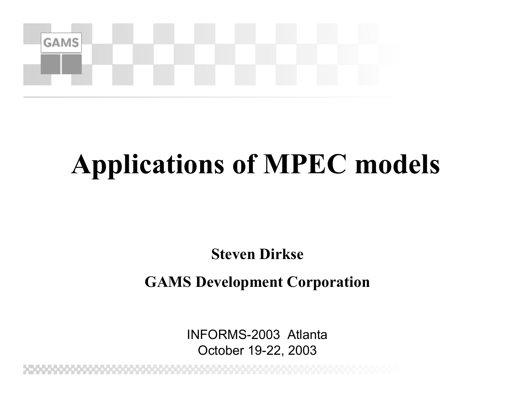

#### **Applications of MPEC models**

**Steven Dirkse**

**GAMS Development Corporation**

INFORMS-2003 AtlantaOctober 19-22, 2003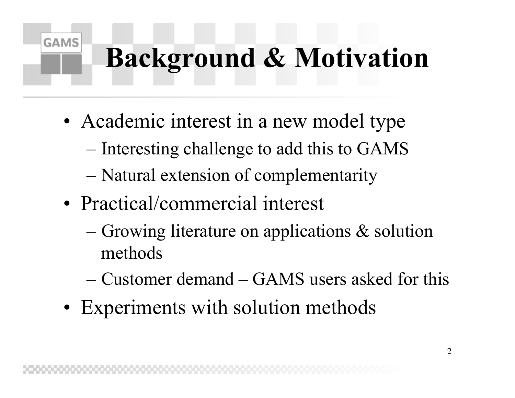## **Background & Motivation**

- •• Academic interest in a new model type
	- Interesting challenge to add this to GAMS
	- Natural extension of complementarity
- Practical/commercial interest

- Growing literature on applications & solution methods
- –Customer demand –GAMS users asked for this
- •• Experiments with solution methods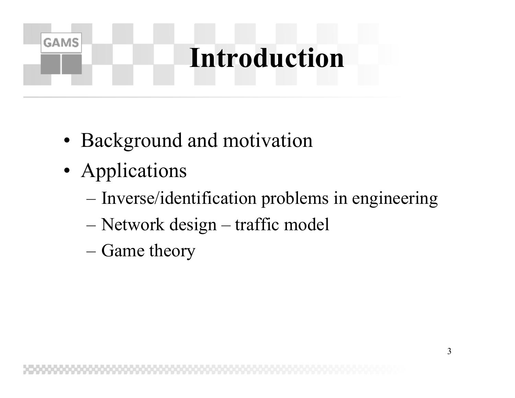### **Introduction**

- •Background and motivation
- •• Applications

- Inverse/identification problems in engineering
- Network design traffic model
- Game theory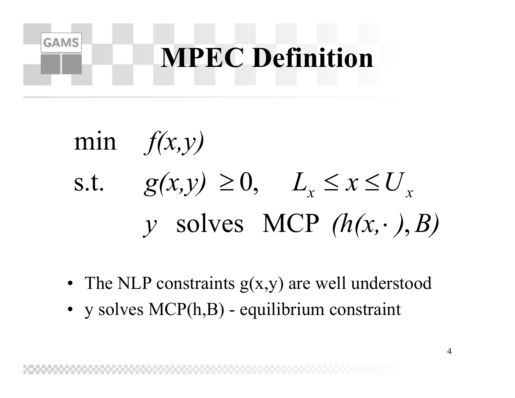

min 
$$
f(x,y)
$$
  
s.t.  $g(x,y) \ge 0$ ,  $L_x \le x \le U_x$   
 $y$  solves MCP  $(h(x, \cdot), B)$ 

- The NLP constraints  $g(x,y)$  are well understood
- y solves MCP(h,B) equilibrium constraint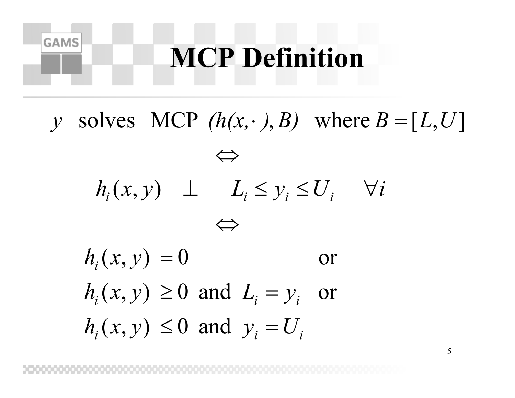#### **MCP Definition**

**GAMS** 

 $i^{(v, v)}$  *i*  $\longrightarrow$   $\blacksquare$   $\blacksquare$   $\blacksquare$   $\blacksquare$   $\blacksquare$   $\blacksquare$   $\blacksquare$   $\blacksquare$   $\blacksquare$   $\blacksquare$   $\blacksquare$   $\blacksquare$   $\blacksquare$   $\blacksquare$   $\blacksquare$   $\blacksquare$   $\blacksquare$   $\blacksquare$   $\blacksquare$   $\blacksquare$   $\blacksquare$   $\blacksquare$   $\blacksquare$   $\blacksquare$   $\blacksquare$   $\blacksquare$   $\blacksquare$   $\blacksquare$   $\blacksquare$  $i^{(v, v)}$  *j* =  $\sigma$  and  $L_i$  *j j iiiii* $h_i(x, y) \leq 0$  and  $y_i = U$  $h_i(x, y) \ge 0$  and  $L_i = y_i$  or  $h_i(x, y) = 0$  $h_i(x, y) \perp L_i \leq y_i \leq U_i \quad \forall i$ *y* solves MCP  $(h(x, \cdot), B)$  where  $B = [L, U]$ ⇔⇔solves MCP  $(h(x, \cdot), B)$  where  $B = [L, U]$ or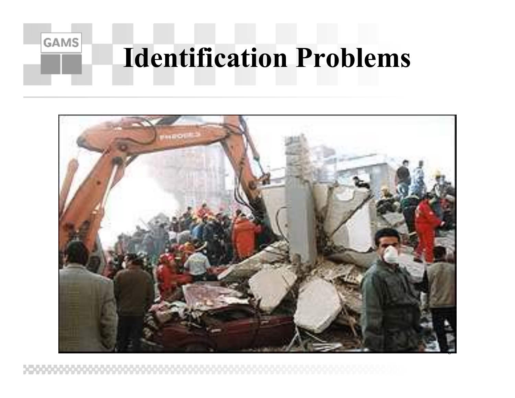

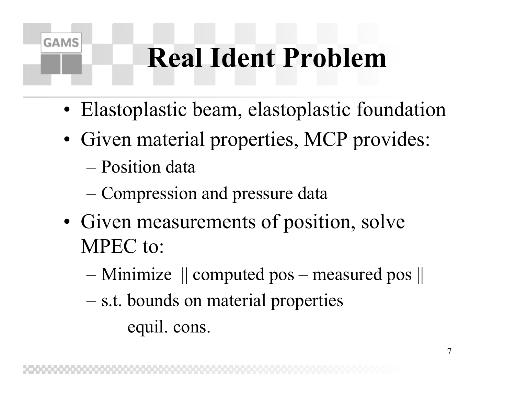## **Real Ident Problem**

- Elastoplastic beam, elastoplastic foundation
- Given material properties, MCP provides:
	- Position data

- Compression and pressure data
- Given measurements of position, solve MPEC to:
	- Minimize || computed pos measured pos ||
	- s.t. bounds on material properties equil. cons.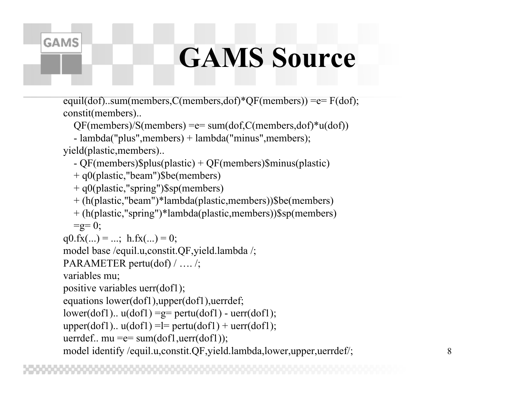#### **GAMS Source**

equil(dof)..sum(members,C(members,dof)\*QF(members)) =e= F(dof); constit(members)..

QF(members)/S(members) =e= s um(dof,C(members,dof)\*u(dof))

- lambda(" plus",members) + lambda("minus",members);

yield(plastic,members)..

**GAMS** 

- QF(members)\$plus(plastic) + QF(members)\$minus(plastic)

+ q0(plastic,"beam")\$be(members)

+ q0(plastic,"spring")\$sp(members)

+ (h(plastic,"beam")\*lambda(plastic,members))\$be(members)

+ (h(plastic,"spring")\*lambda(plastic,members))\$sp(members)  $=g= 0;$ 

```
q0.fx(...) = ...; h.fx(...) = 0;
```
model base /equil.u,constit.QF,yield.lambda /;

```
PARAMETER pertu(d
of) / …. /;
```
variables mu;

```
positive variables uerr(dof1);
```

```
equations lower(dof1),upper(dof1),uerrdef;
```

```
lower(dof1).. u(dof1) =g= pertu(dof1) -
uerr(dof1);
```

```
upper(dof1).. u(dof1) = l = pertu(dof1) + uerr(dof1);
```

```
uerrdef.. mu =e= s
um(dof1,uerr(dof1));
```
model identify /equil.u,constit.QF,yield.lambda,lower,upper,uerrdef/;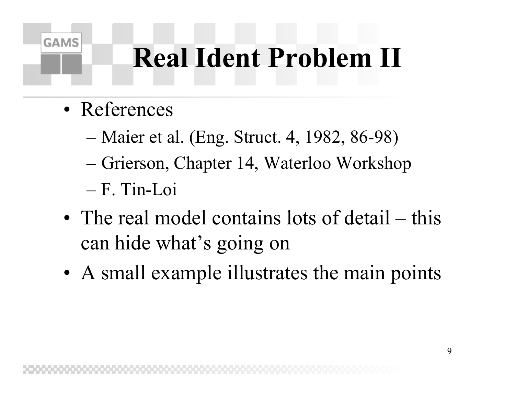## **Real Ident Problem II**

• References

- Maier et al. (Eng. Struct. 4, 1982, 86-98)
- Grierson, Chapter 14, Waterloo Workshop
- F. Tin-Loi
- The real model contains lots of detail this can hide what's going on
- A small example illustrates the main points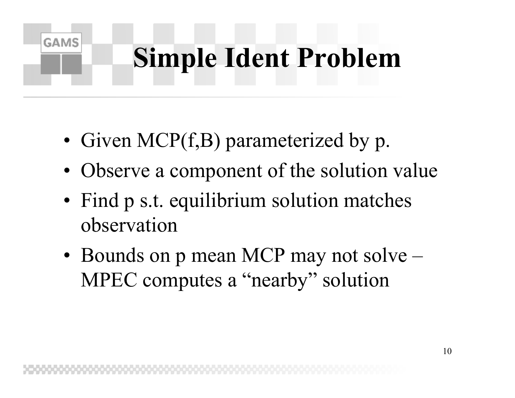# **Simple Ident Problem**

•• Given MCP(f,B) parameterized by p.

- •• Observe a component of the solution value
- •• Find p s.t. equilibrium solution matches observation
- Bounds on p mean MCP may not solve MPEC computes a "nearby" solution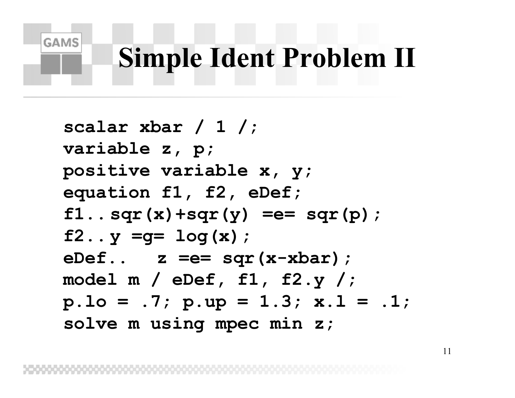## **Simple Ident Problem II**

**GAMS** 

**scalar xbar / 1 /; variable z, p; positive variable x, y; equation f1, f2, eDef; f1.. sqr(x)+sqr(y) =e= sqr(p); f2.. y =g= log(x); eDef.. z =e= sqr(x-xbar); model m / eDef, f1, f2.y /; p.lo = .7; p.up = 1.3; x.l = .1; solve m using mpec min z;**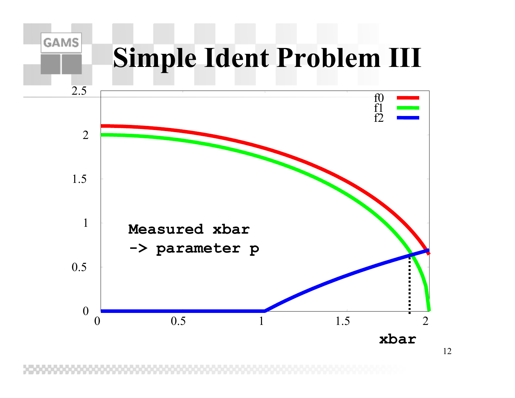#### **GAMS Simple Ident Problem III** 2.5f0 f1 f221.5 1**Measured xbar-> parameter p**  $0.5\,$  $\rm 0$  0.5 1.5 021

**xbar**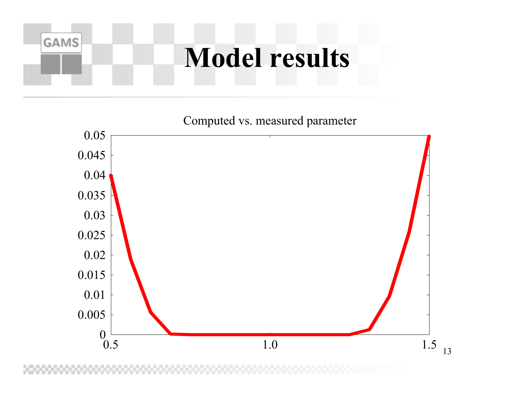#### **Model results**

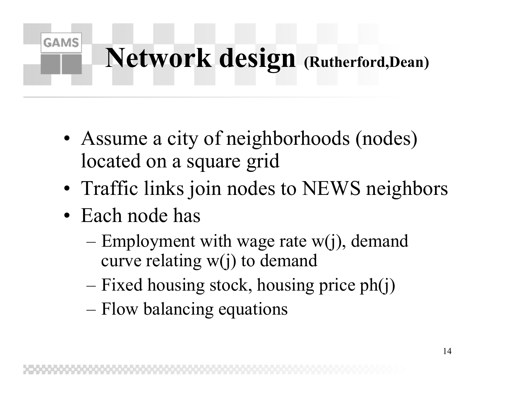# **Network design (Rutherford,Dean)**

- •• Assume a city of neighborhoods (nodes) located on a square grid
- •• Traffic links join nodes to NEWS neighbors
- Each node has

- Employment with wage rate w(j), demand curve relating w(j) to demand
- Fixed housing stock, housing price ph(j)
- Flow balancing equations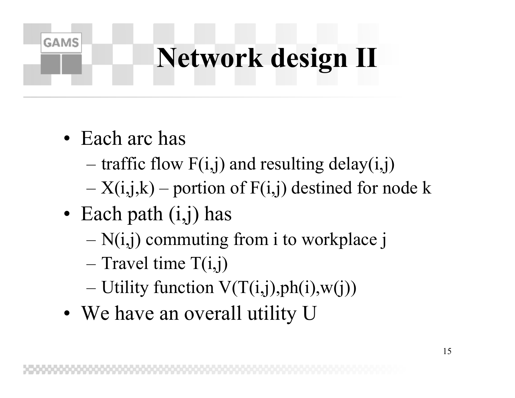# **Network design II**

• Each arc has

- traffic flow F(i,j) and resulting delay(i,j)
- X(i,j,k) portion of F(i,j) destined for node k
- Each path (i,j) has
	- N(i,j) commuting from i to workplace j
	- Travel time T(i,j)
	- Utility function V(T(i,j),ph(i),w(j))
- •• We have an overall utility U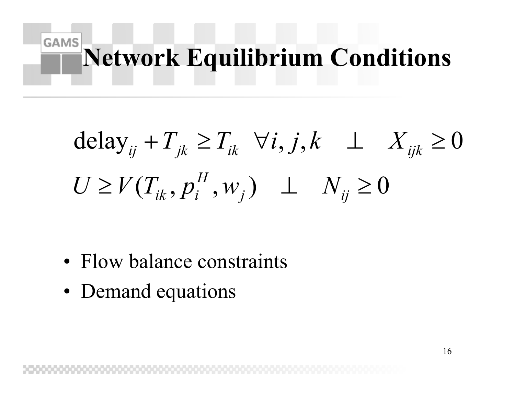#### **GAMS Network Equilibrium Conditions**

$$
\text{delay}_{ij} + T_{jk} \ge T_{ik} \quad \forall i, j, k \perp X_{ijk} \ge 0
$$
  

$$
U \ge V(T_{ik}, p_i^H, w_j) \perp N_{ij} \ge 0
$$

- Flow balance constraints
- •• Demand equations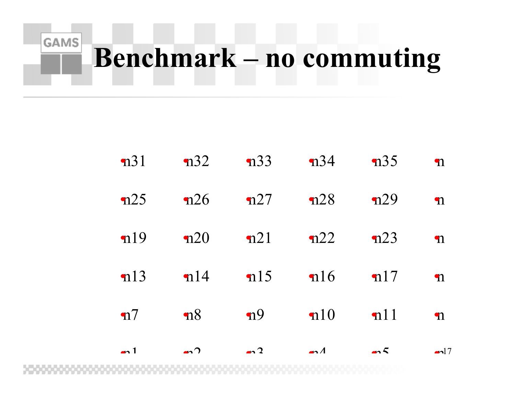#### **GAMS Benchmark – no commuting**

| $\rightarrow$ 1 | $\bullet$       | $\rightarrow$ 2 | $\bullet$ $\Lambda$ | $\rightarrow$ 5 | $\blacksquare$ |
|-----------------|-----------------|-----------------|---------------------|-----------------|----------------|
| $\mathbf{n}$    | $\mathbf{n}8$   | n9              | $\mathbf{n}$ 10     | nl1             | $\mathbf n$    |
| n13             | nl4             | n15             | n16                 | $\mathbf{n}$ 17 | $\mathbf n$    |
| n19             | n20             | n21             | n22                 | n23             | $\mathbf n$    |
| n25             | n26             | n27             | n28                 | n29             | $\mathbf n$    |
| n31             | $\mathbf{n}$ 32 | n33             | $\mathbf{n}$ 34     | $\mathbf{n}$ 35 | $\mathbf n$    |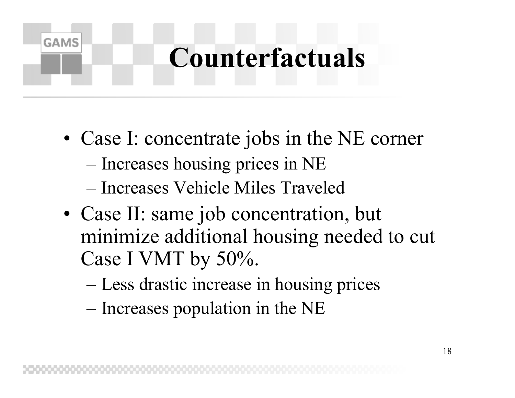## **Counterfactuals**

- •• Case I: concentrate jobs in the NE corner – Increases housing prices in NE
	- Increases Vehicle Miles Traveled

- •• Case II: same job concentration, but minimize additional housing needed to cut Case I VMT by 50%.
	- Less drastic increase in housing prices
	- Increases population in the NE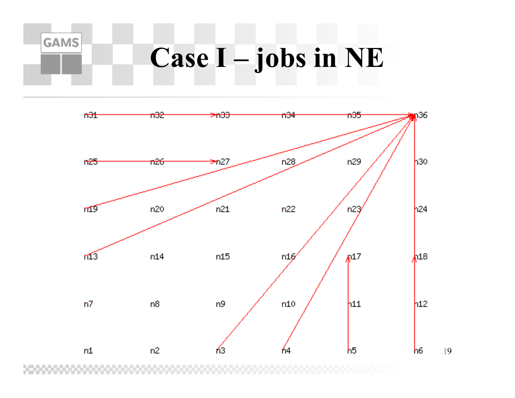#### **Case I – jobs in NE**

**GAMS** 



19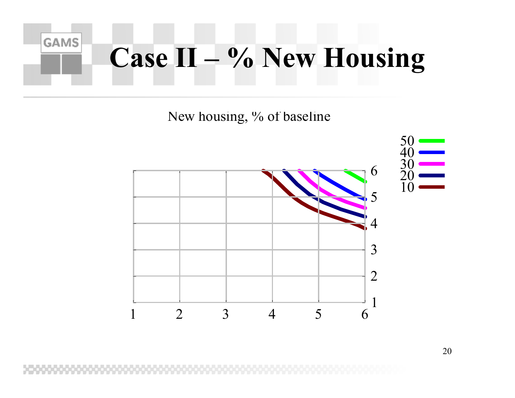

New housing, % of baseline

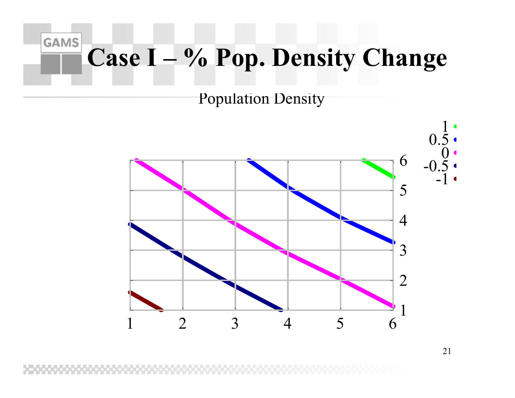#### **GAMS Case I – % Pop. Density Change**

Population Density

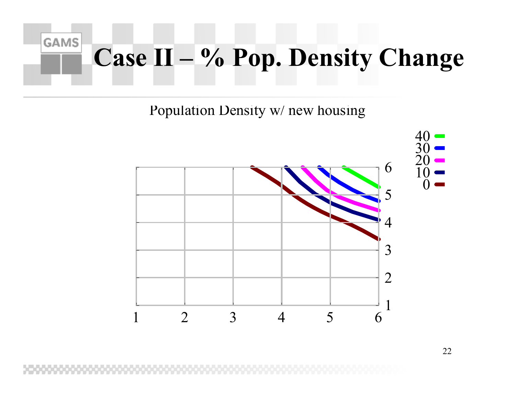#### **GAMS Case II – % Pop. Density Change**

Population Density w/ new housing

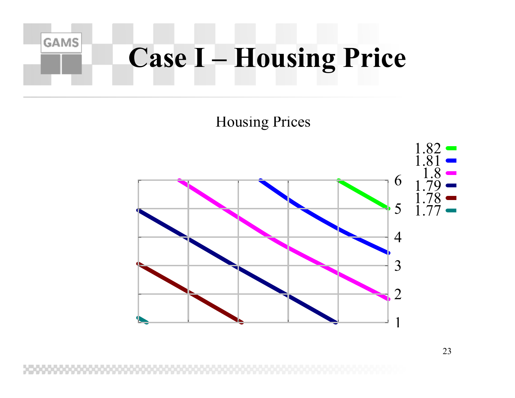## **Case I – Housing Price**

**GAMS** 

#### Housing Prices

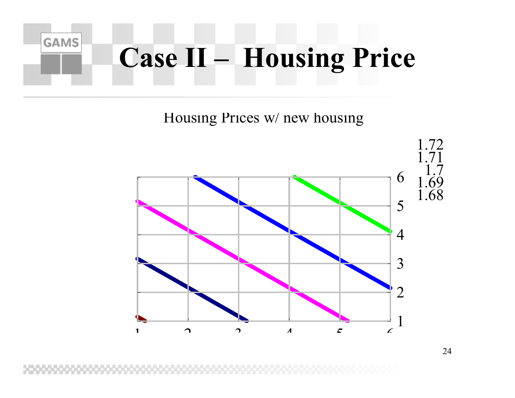# **Case II – Housing Price**

**GAMS** 

Housing Prices w/ new housing

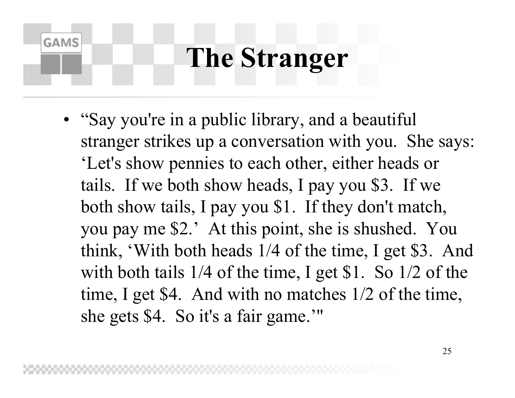## **The Stranger**

**GAMS** 

• "Say you're in a public library, and a beautiful stranger strikes up a conversation with you. She says: 'Let's show pennies to each other, either heads or tails. If we both show heads, I pay you \$3. If we both show tails, I pay you \$1. If they don't match, you pay me \$2.' At this point, she is shushed. You think, 'With both heads 1/4 of the time, I get \$3. And with both tails 1/4 of the time, I get \$1. So 1/2 of the time, I get \$4. And with no matches 1/2 of the time, she gets \$4. So it's a fair game.'"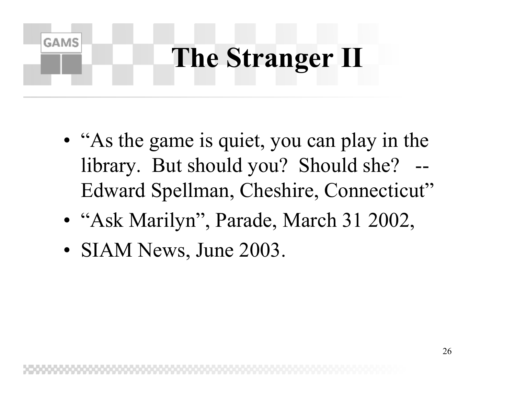## **The Stranger II**

- •• "As the game is quiet, you can play in the library. But should you? Should she? Edward Spellman, Cheshire, Connecticut"
- •• "Ask Marilyn", Parade, March 31 2002,
- •• SIAM News, June 2003.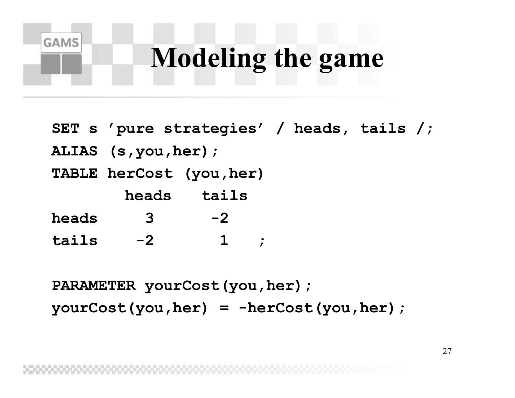## **Modeling the game**

- **SET s 'pure strategies' / heads, tails /;**
- **ALIAS (s,you,her);**

**GAMS** 

**TABLE herCost (you,her)**

**heads tails**

- **heads3-2**
- **tails-2 1 ;**

**PARAMETER yourCost(you,her);**

**yourCost(you,her) = -herCost(you,her);**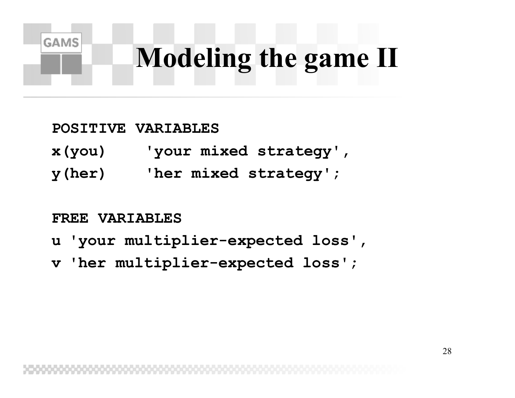# **Modeling the game II**

#### **POSITIVE VARIABLES**

- **x(you) 'your mixed strategy',**
- **y(her) 'her mixed strategy';**

#### **FREE VARIABLES**

- **u 'your multiplier-expected loss',**
- **v 'her multiplier-expected loss';**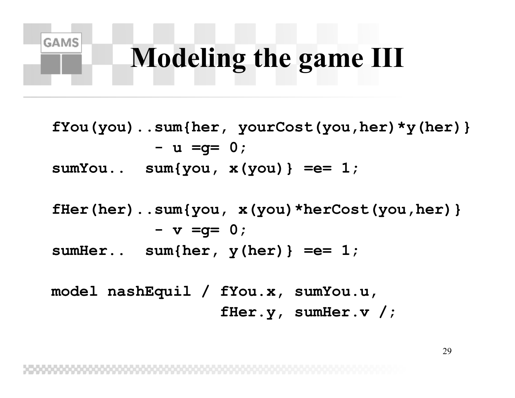## **Modeling the game III**

**GAMS** 

**fYou(you)..sum{her, yourCost(you,her)\*y(her)} - u =g= 0; sumYou.. sum{you, x(you)} =e= 1; fHer(her)..sum{you, x(you)\*herCost(you,her)} - v =g= 0; sumHer.. sum{her, y(her)} =e= 1; model nashEquil / fYou.x, sumYou.u, fHer.y, sumHer.v /;**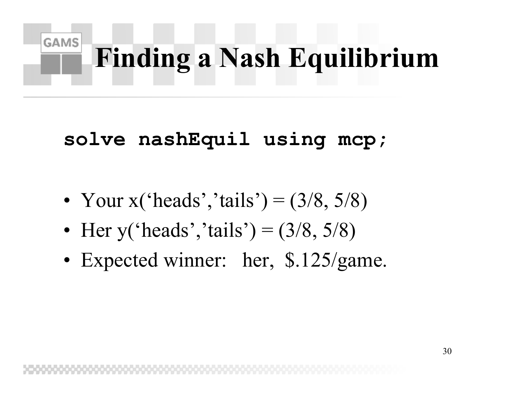# **Finding a Nash Equilibrium**

#### **solve nashEquil using mcp;**

- •• Your  $x('heads', 'tails') = (3/8, 5/8)$
- •• Her y('heads','tails') =  $(3/8, 5/8)$
- •Expected winner: her, \$.125/game.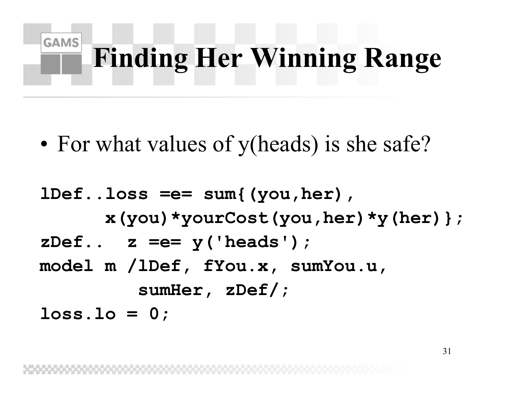# **Finding Her Winning Range**

•• For what values of y(heads) is she safe?

**GAMS** 

**lDef..loss =e= sum{(you,her), x(you)\*yourCost(you,her)\*y(her)}; zDef.. z =e= y('heads'); model m /lDef, fYou.x, sumYou.u, sumHer, zDef/; loss.lo = 0;**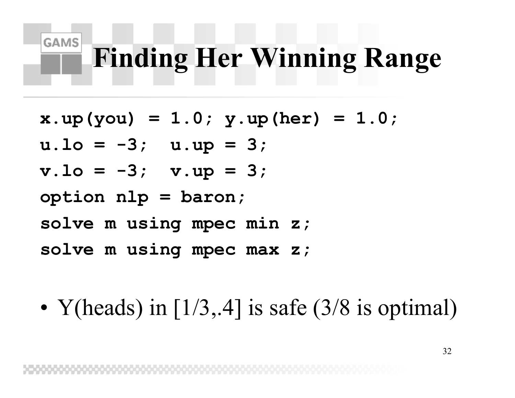## **Finding Her Winning Range**

**x.up(you) = 1.0; y.up(her) = 1.0;**

**u.lo = -3; u.up = 3;**

**GAMS** 

**v.lo = -3; v.up = 3;**

**option nlp = baron;**

- **solve m using mpec min z;**
- **solve m using mpec max z;**

•• Y(heads) in  $[1/3, 4]$  is safe  $(3/8)$  is optimal)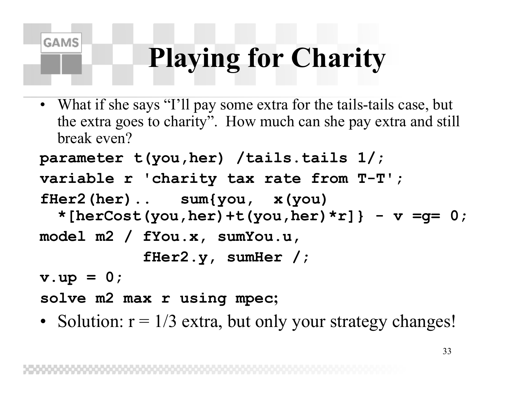## **Playing for Charity**

• What if she says "I'll pay some extra for the tails-tails case, but the extra goes to charity". How much can she pay extra and still break even?

```
parameter t(you,her) /tails.tails 1/;
```

```
variable r 'charity tax rate from T-T';
```

```
fHer2(her).. sum{you, x(you)
```

```
*[herCost(you,her)+t(you,her)*r]} -
v =g= 0;
```

```
model m2 / fYou.x, sumYou.u,
```
**fHer2.y, sumHer / ;**

**v.up = 0;**

**GAMS** 

**solve m2 max r using mpec;**

• Solution:  $r = 1/3$  extra, but only your strategy changes!